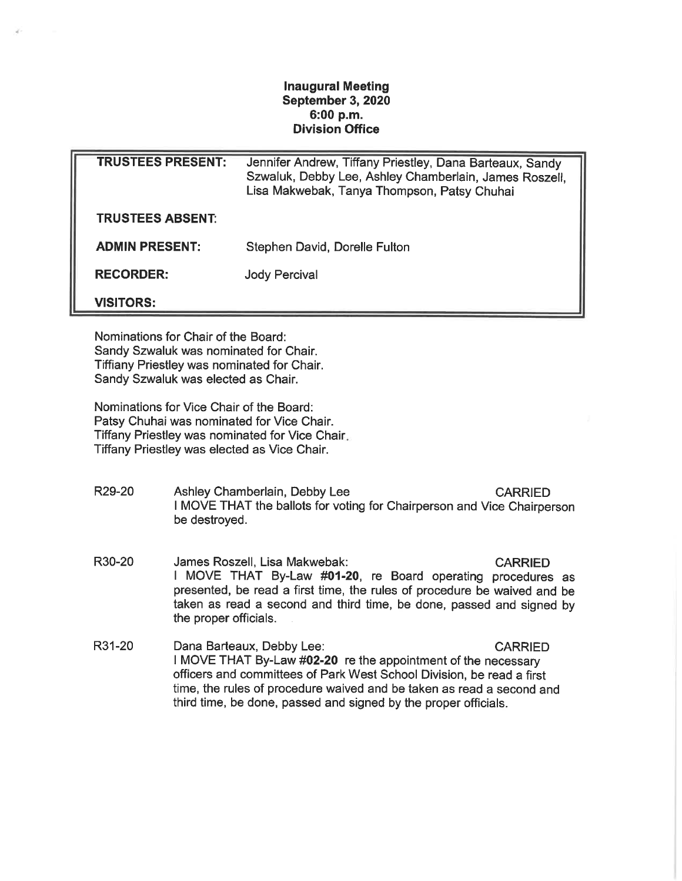## Inaugural Meeting September 3, 2020 6:00 p.m. Division Office

| <b>TRUSTEES PRESENT:</b> | Jennifer Andrew, Tiffany Priestley, Dana Barteaux, Sandy<br>Szwaluk, Debby Lee, Ashley Chamberlain, James Roszell,<br>Lisa Makwebak, Tanya Thompson, Patsy Chuhai |
|--------------------------|-------------------------------------------------------------------------------------------------------------------------------------------------------------------|
| <b>TRUSTEES ABSENT:</b>  |                                                                                                                                                                   |
| <b>ADMIN PRESENT:</b>    | Stephen David, Dorelle Fulton                                                                                                                                     |
| <b>RECORDER:</b>         | <b>Jody Percival</b>                                                                                                                                              |
| <b>VISITORS:</b>         |                                                                                                                                                                   |

Nominations for Chair of the Board: Sandy Szwaluk was nominated for Chair. Tiffiany Priestley was nominated for Chair. Sandy Szwaluk was elected as Chair.

Nominations for Vice Chair of the Board: Patsy Chuhai was nominated for Vice Chair. Tiffany Priestley was nominated for Vice Chair Tiffany Priestley was elected as Vice Chair.

- R29-20 Ashley Chamberlain, Debby Lee CARRIED I MOVE THAT the ballots for voting for Chairperson and Vice Chairperson be destroyed.
- R30-20 James Roszell, Lisa Makwebak: CARRIED I MOVE THAT By-Law #01-20, re Board operating procedures as presented, be read a first time, the rules of procedure be waived and be taken as read a second and third time, be done, passed and signed by the proper officials.
- R31-20 Dana Barteaux, Debby Lee: CARRIED I MOVE THAT By-Law #02-20 re the appointment of the necessary officers and committees of Park West School Division, be read a first time, the rules of procedure waived and be taken as read a second and third time, be done, passed and signed by the proper officials.